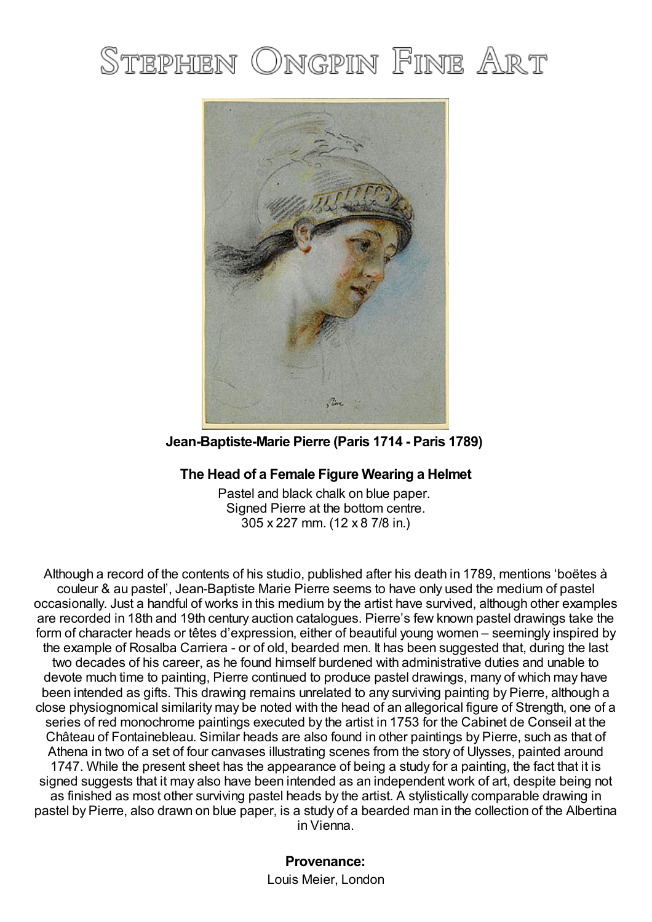# STEPHEN ONGPIN FINE ART



**Jean-Baptiste-Marie Pierre (Paris 1714 - Paris 1789)**

## **The Head of a Female Figure Wearing a Helmet**

Pastel and black chalk on blue paper. Signed Pierre at the bottom centre. 305 x 227 mm. (12 x 8 7/8 in.)

Although a record of the contents of his studio, published after his death in 1789, mentions 'boëtes à couleur & au pastel', Jean-Baptiste Marie Pierre seems to have only used the medium of pastel occasionally. Just a handful of works in this medium by the artist have survived, although other examples are recorded in 18th and 19th century auction catalogues. Pierre's few known pastel drawings take the form of character heads or têtes d'expression, either of beautiful young women – seemingly inspired by the example of Rosalba Carriera - or of old, bearded men. It has been suggested that, during the last two decades of his career, as he found himself burdened with administrative duties and unable to devote much time to painting, Pierre continued to produce pastel drawings, many of which may have been intended as gifts. This drawing remains unrelated to any surviving painting by Pierre, although a close physiognomical similarity may be noted with the head of an allegorical figure of Strength, one of a series of red monochrome paintings executed by the artist in 1753 for the Cabinet de Conseil at the Château of Fontainebleau. Similar heads are also found in other paintings by Pierre, such as that of Athena in two of a set of four canvases illustrating scenes from the story of Ulysses, painted around 1747. While the present sheet has the appearance of being a study for a painting, the fact that it is signed suggests that it may also have been intended as an independent work of art, despite being not as finished as most other surviving pastel heads by the artist. A stylistically comparable drawing in pastel by Pierre, also drawn on blue paper, is a study of a bearded man in the collection of the Albertina in Vienna.

> **Provenance:** Louis Meier, London